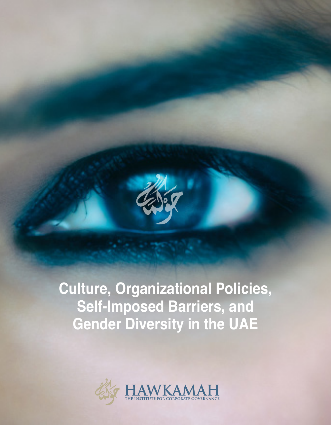

# **Culture, Organizational Policies, Self-Imposed Barriers, and Gender Diversity in the UAE**

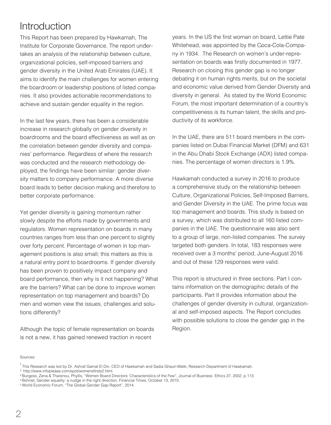### **Introduction**

This Report has been prepared by Hawkamah, The Institute for Corporate Governance. The report under-1 takes an analysis of the relationship between culture, organizational policies, self-imposed barriers and gender diversity in the United Arab Emirates (UAE). It aims to identify the main challenges for women entering the boardroom or leadership positions of listed companies. It also provides actionable recommendations to achieve and sustain gender equality in the region.

In the last few years, there has been a considerable increase in research globally on gender diversity in boardrooms and the board effectiveness as well as on the correlation between gender diversity and companies' performance. Regardless of where the research was conducted and the research methodology deployed, the findings have been similar: gender diversity matters to company performance. A more diverse board leads to better decision making and therefore to better corporate performance.

Yet gender diversity is gaining momentum rather slowly despite the efforts made by governments and regulators. Women representation on boards in many countries ranges from less than one percent to slightly over forty percent. Percentage of women in top management positions is also small; this matters as this is a natural entry point to boardrooms. If gender diversity has been proven to positively impact company and board performance, then why is it not happening? What are the barriers? What can be done to improve women representation on top management and boards? Do men and women view the issues, challenges and solutions differently?

Although the topic of female representation on boards is not a new, it has gained renewed traction in recent

years. In the US the first woman on board, Lettie Pate Whitehead, was appointed by the Coca-Cola-Compa-2 ny in 1934. The Research on women's under-representation on boards was firstly documented in 1977. 3 Research on closing this gender gap is no longer debating it on human rights merits, but on the societal and economic value derived from Gender Diversity and 4 diversity in general. As stated by the World Economic Forum, the most important determination of a country's competitiveness is its human talent, the skills and productivity of its workforce.

In the UAE, there are 511 board members in the companies listed on Dubai Financial Market (DFM) and 631 in the Abu Dhabi Stock Exchange (ADX) listed companies. The percentage of women directors is 1.9%.

Hawkamah conducted a survey in 2016 to produce a comprehensive study on the relationship between Culture, Organizational Policies, Self-Imposed Barriers, and Gender Diversity in the UAE. The prime focus was top management and boards. This study is based on a survey, which was distributed to all 160 listed companies in the UAE. The questionnaire was also sent to a group of large, non-listed companies. The survey targeted both genders. In total, 183 responses were received over a 3 months' period, June-August 2016 and out of these 129 responses were valid.

This report is structured in three sections. Part I contains information on the demographic details of the participants. Part II provides information about the challenges of gender diversity in cultural, organizational and self-imposed aspects. The Report concludes with possible solutions to close the gender gap in the Region.

Sources:

 $\overline{1}$ 

<sup>&</sup>lt;sup>1</sup> This Research was led by Dr. Ashraf Gamal El Din, CEO of Hawkamah and Sadia Ghauri-Malik, Research Department of Hawkamah. <sup>2</sup> http://www.infoplease.com/spot/womensfirsts2.html.

<sup>&</sup>lt;sup>3</sup> Burgess, Zena & Tharenou, Phyllis, "Women Board Directors: Characteristics of the Few", Journal of Business Ethics 37, 2002, p.113.

<sup>&</sup>lt;sup>4</sup> Bohnet, Gender equality: a nudge in the right direction, Financial Times, October 13, 2010.

World Economic Forum, "The Global Gender Gap Report", 2014. 5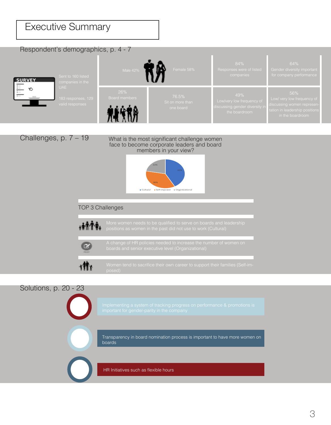### Executive Summary

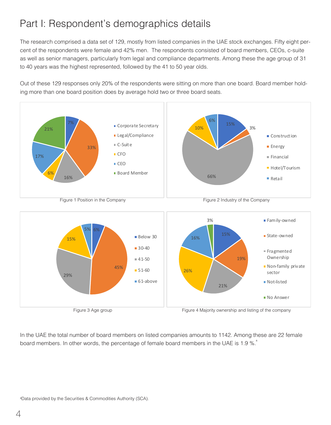## Part I: Respondent's demographics details

The research comprised a data set of 129, mostly from listed companies in the UAE stock exchanges. Fifty eight percent of the respondents were female and 42% men. The respondents consisted of board members, CEOs, c-suite as well as senior managers, particularly from legal and compliance departments. Among these the age group of 31 to 40 years was the highest represented, followed by the 41 to 50 year olds.

Out of these 129 responses only 20% of the respondents were sitting on more than one board. Board member holding more than one board position does by average hold two or three board seats.



Figure 3 Age group Figure 4 Majority ownership and listing of the company

In the UAE the total number of board members on listed companies amounts to 1142. Among these are 22 female board members. In other words, the percentage of female board members in the UAE is 1.9 %.<sup>6</sup>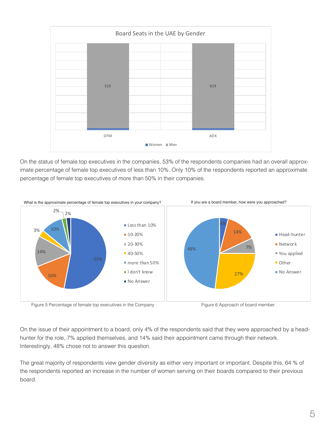

On the status of female top executives in the companies, 53% of the respondents companies had an overall approximate percentage of female top executives of less than 10%. Only 10% of the respondents reported an approximate percentage of female top executives of more than 50% in their companies.



On the issue of their appointment to a board, only 4% of the respondents said that they were approached by a headhunter for the role, 7% applied themselves, and 14% said their appointment came through their network. Interestingly, 48% chose not to answer this question.

The great majority of respondents view gender diversity as either very important or important. Despite this, 64 % of the respondents reported an increase in the number of women serving on their boards compared to their previous board.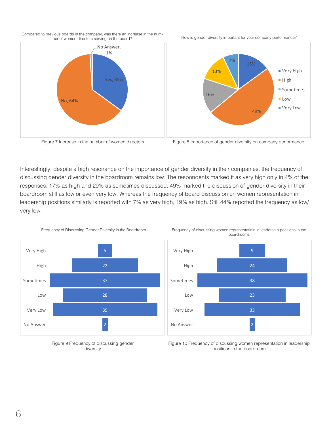





How is gender diversity important for your company performance?



Interestingly, despite a high resonance on the importance of gender diversity in their companies, the frequency of discussing gender diversity in the boardroom remains low. The respondents marked it as very high only in 4% of the responses, 17% as high and 29% as sometimes discussed. 49% marked the discussion of gender diversity in their boardroom still as low or even very low. Whereas the frequency of board discussion on women representation in leadership positions similarly is reported with 7% as very high, 19% as high. Still 44% reported the frequency as low/ very low.



Frequency of Discussing Gender Diversity in the Boardroom Frequency of discussing women representatioin in leadership positions in the boardrooms



Figure 9 Frequency of discussing gender diversity

Figure 10 Frequency of discussing women representation in leadership positions in the boardroom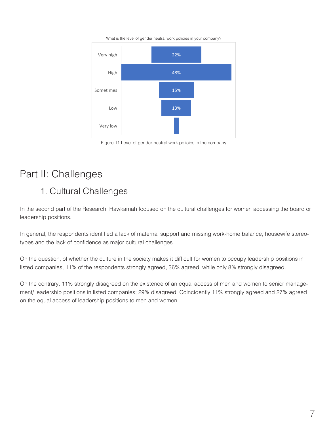What is the level of gender neutral work policies in your company?



Figure 11 Level of gender-neutral work policies in the company

# Part II: Challenges

#### 1. Cultural Challenges

In the second part of the Research, Hawkamah focused on the cultural challenges for women accessing the board or leadership positions.

In general, the respondents identified a lack of maternal support and missing work-home balance, housewife stereotypes and the lack of confidence as major cultural challenges.

On the question, of whether the culture in the society makes it difficult for women to occupy leadership positions in listed companies, 11% of the respondents strongly agreed, 36% agreed, while only 8% strongly disagreed.

On the contrary, 11% strongly disagreed on the existence of an equal access of men and women to senior management/ leadership positions in listed companies; 29% disagreed. Coincidently 11% strongly agreed and 27% agreed on the equal access of leadership positions to men and women.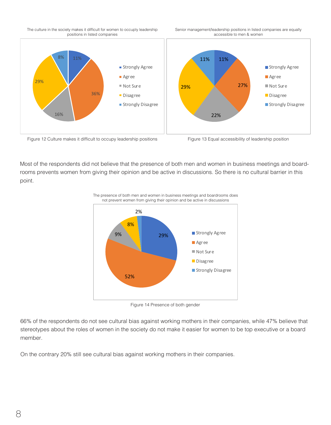The culture in the society makes it difficult for women to occuply leadership positions in listed companies

Senior management/leadership positions in listed companies are equally accessible to men & women





Most of the respondents did not believe that the presence of both men and women in business meetings and boardrooms prevents women from giving their opinion and be active in discussions. So there is no cultural barrier in this point.



Figure 14 Presence of both gender

66% of the respondents do not see cultural bias against working mothers in their companies, while 47% believe that stereotypes about the roles of women in the society do not make it easier for women to be top executive or a board member.

On the contrary 20% still see cultural bias against working mothers in their companies.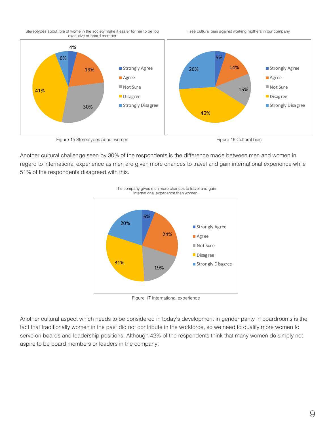

I see cultural bias against working mothers in our company



Another cultural challenge seen by 30% of the respondents is the difference made between men and women in regard to international experience as men are given more chances to travel and gain international experience while 51% of the respondents disagreed with this.



The company gives men more chances to travel and gain international experience than women.

Figure 17 International experience

Another cultural aspect which needs to be considered in today's development in gender parity in boardrooms is the fact that traditionally women in the past did not contribute in the workforce, so we need to qualify more women to serve on boards and leadership positions. Although 42% of the respondents think that many women do simply not aspire to be board members or leaders in the company.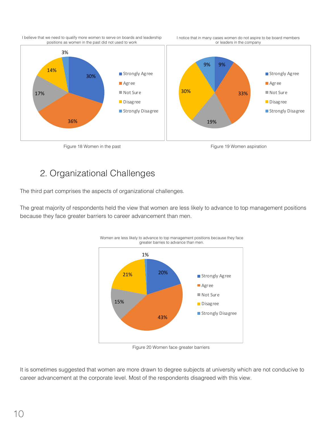





#### 2. Organizational Challenges

The third part comprises the aspects of organizational challenges.

The great majority of respondents held the view that women are less likely to advance to top management positions because they face greater barriers to career advancement than men.



Figure 20 Women face greater barriers

It is sometimes suggested that women are more drawn to degree subjects at university which are not conducive to career advancement at the corporate level. Most of the respondents disagreed with this view.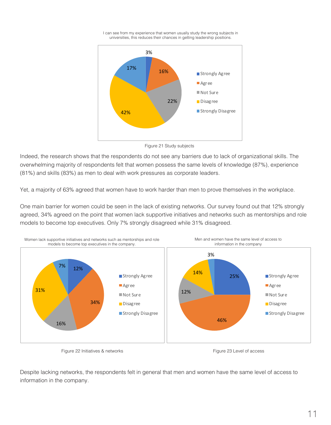



Figure 21 Study subjects

Indeed, the research shows that the respondents do not see any barriers due to lack of organizational skills. The overwhelming majority of respondents felt that women possess the same levels of knowledge (87%), experience (81%) and skills (83%) as men to deal with work pressures as corporate leaders.

Yet, a majority of 63% agreed that women have to work harder than men to prove themselves in the workplace.

One main barrier for women could be seen in the lack of existing networks. Our survey found out that 12% strongly agreed, 34% agreed on the point that women lack supportive initiatives and networks such as mentorships and role models to become top executives. Only 7% strongly disagreed while 31% disagreed.



Figure 22 Initiatives & networks **Figure 23 Level of access** Figure 23 Level of access

Despite lacking networks, the respondents felt in general that men and women have the same level of access to information in the company.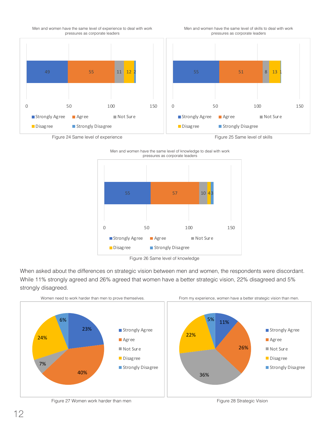

Men and women have the same level of skills to deal with work pressures as corporate leaders





Men and women have the same level of knowledge to deal with work pressures as corporate leaders

Figure 26 Same level of knowledge

When asked about the differences on strategic vision between men and women, the respondents were discordant. While 11% strongly agreed and 26% agreed that women have a better strategic vision, 22% disagreed and 5% strongly disagreed.



Figure 27 Women work harder than men Figure 27 Women work harder than men Figure 28 Strategic Vision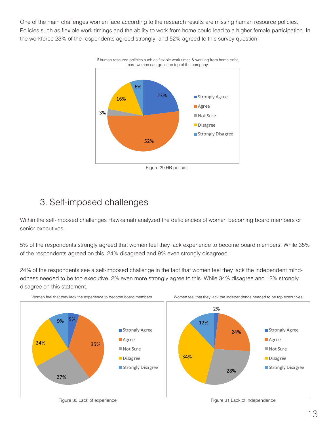One of the main challenges women face according to the research results are missing human resource policies. Policies such as flexible work timings and the ability to work from home could lead to a higher female participation. In the workforce 23% of the respondents agreed strongly, and 52% agreed to this survey question.



3. Self-imposed challenges

Within the self-imposed challenges Hawkamah analyzed the deficiencies of women becoming board members or senior executives.

5% of the respondents strongly agreed that women feel they lack experience to become board members. While 35% of the respondents agreed on this, 24% disagreed and 9% even strongly disagreed.

24% of the respondents see a self-imposed challenge in the fact that women feel they lack the independent mindedness needed to be top executive. 2% even more strongly agree to this. While 34% disagree and 12% strongly disagree on this statement.

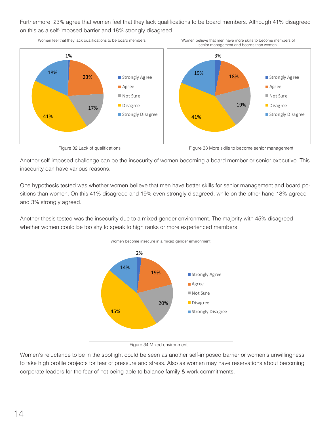Furthermore, 23% agree that women feel that they lack qualifications to be board members. Although 41% disagreed on this as a self-imposed barrier and 18% strongly disagreed.

Women feel that they lack qualifications to be board members Women believe that men have more skills to become members of



Figure 32 Lack of qualifications Figure 33 More skills to become senior management

Another self-imposed challenge can be the insecurity of women becoming a board member or senior executive. This insecurity can have various reasons.

One hypothesis tested was whether women believe that men have better skills for senior management and board positions than women. On this 41% disagreed and 19% even strongly disagreed, while on the other hand 18% agreed and 3% strongly agreed.

Another thesis tested was the insecurity due to a mixed gender environment. The majority with 45% disagreed whether women could be too shy to speak to high ranks or more experienced members.



Women become insecure in a mixed gender environment.

Figure 34 Mixed environment

Women's reluctance to be in the spotlight could be seen as another self-imposed barrier or women's unwillingness to take high profile projects for fear of pressure and stress. Also as women may have reservations about becoming corporate leaders for the fear of not being able to balance family & work commitments.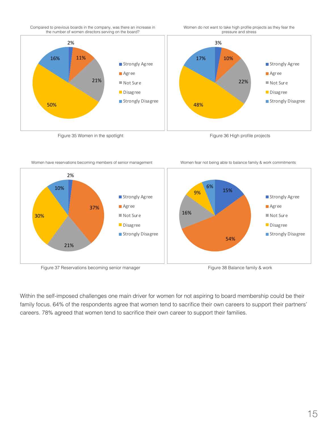

Women do not want to take high profile projects as they fear the pressure and stress



Women have reservations becoming members of senior management Women fear not being able to balance family & work commitments



Figure 37 Reservations becoming senior manager Figure 38 Balance family & work

Within the self-imposed challenges one main driver for women for not aspiring to board membership could be their family focus. 64% of the respondents agree that women tend to sacrifice their own careers to support their partners' careers. 78% agreed that women tend to sacrifice their own career to support their families.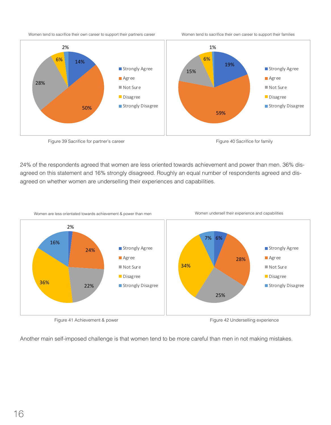Women tend to sacrifice their own career to support their partners career Women tend to sacrifice their own career to support their families







24% of the respondents agreed that women are less oriented towards achievement and power than men. 36% disagreed on this statement and 16% strongly disagreed. Roughly an equal number of respondents agreed and disagreed on whether women are underselling their experiences and capabilities.



Figure 41 Achievement & power **Figure 42 Underselling experience** Figure 42 Underselling experience

Another main self-imposed challenge is that women tend to be more careful than men in not making mistakes.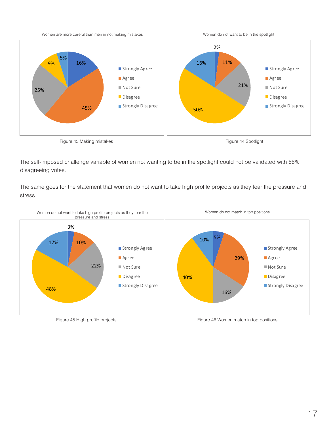



The self-imposed challenge variable of women not wanting to be in the spotlight could not be validated with 66% disagreeing votes.

The same goes for the statement that women do not want to take high profile projects as they fear the pressure and stress.



Figure 45 High profile projects Figure 46 Women match in top positions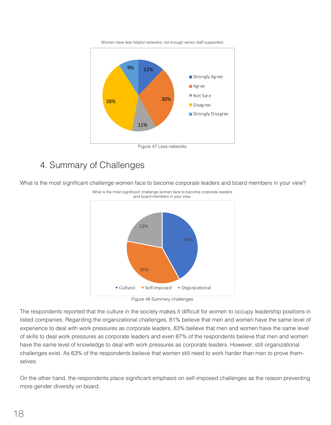



#### 4. Summary of Challenges

What is the most significant challenge women face to become corporate leaders and board members in your view?



The respondents reported that the culture in the society makes it difficult for women to occupy leadership positions in listed companies. Regarding the organizational challenges, 81% believe that men and women have the same level of experience to deal with work pressures as corporate leaders, 83% believe that men and women have the same level of skills to deal work pressures as corporate leaders and even 87% of the respondents believe that men and women have the same level of knowledge to deal with work pressures as corporate leaders. However, still organizational challenges exist. As 63% of the respondents believe that women still need to work harder than men to prove themselves.

On the other hand, the respondents place significant emphasis on self-imposed challenges as the reason preventing more gender diversity on board.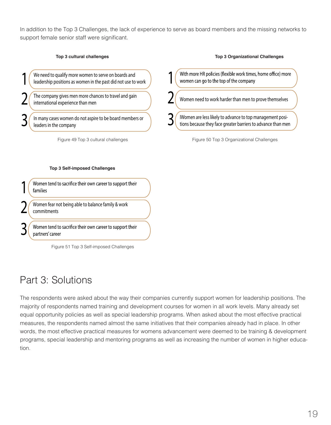In addition to the Top 3 Challenges, the lack of experience to serve as board members and the missing networks to support female senior staff were significant.

#### **Top 3 cultural challenges**

We need to qualify more women to serve on boards and leadership positions as women in the past did not use to work

The company gives men more chances to travel and gain international experience than men

In many cases women do not aspire to be board members or leaders in the company

Figure 49 Top 3 cultural challenges

#### **Top 3 Self-imposed Challenges**

Women tend to sacrifice their own career to support their 1families

Women fear not being able to balance family & work commitments

Women tend to sacrifice their own career to support their partners' career

Figure 51 Top 3 Self-imposed Challenges

# Part 3: Solutions

3

3

2

2

1

The respondents were asked about the way their companies currently support women for leadership positions. The majority of respondents named training and development courses for women in all work levels. Many already set equal opportunity policies as well as special leadership programs. When asked about the most effective practical measures, the respondents named almost the same initiatives that their companies already had in place. In other words, the most effective practical measures for womens advancement were deemed to be training & development programs, special leadership and mentoring programs as well as increasing the number of women in higher education.

| With more HR policies (flexible work times, home office) more<br>women can go to the top of the company |  |
|---------------------------------------------------------------------------------------------------------|--|
| Women need to work harder than men to prove themselves                                                  |  |

**Top 3 Organizational Challenges**

IWomen are less likely to advance to top management positions because they face greater barriers to advance than men

Figure 50 Top 3 Organizational Challenges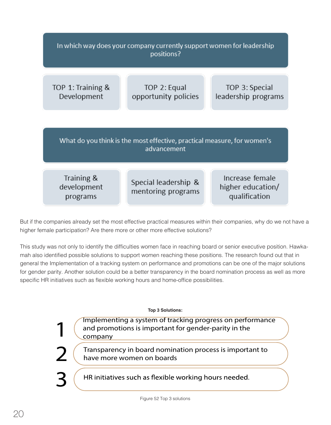| In which way does your company currently support women for leadership<br>positions?    |                                            |                                                       |  |
|----------------------------------------------------------------------------------------|--------------------------------------------|-------------------------------------------------------|--|
| TOP 1: Training &<br>Development                                                       | TOP 2: Equal<br>opportunity policies       | TOP 3: Special<br>leadership programs                 |  |
| What do you think is the most effective, practical measure, for women's<br>advancement |                                            |                                                       |  |
| Training &<br>development<br>programs                                                  | Special leadership &<br>mentoring programs | Increase female<br>higher education/<br>qualification |  |

But if the companies already set the most effective practical measures within their companies, why do we not have a higher female participation? Are there more or other more effective solutions?

This study was not only to identify the difficulties women face in reaching board or senior executive position. Hawkamah also identified possible solutions to support women reaching these positions. The research found out that in general the Implementation of a tracking system on performance and promotions can be one of the major solutions for gender parity. Another solution could be a better transparency in the board nomination process as well as more specific HR initiatives such as flexible working hours and home-office possibilities.

**Top 3 Solutions:**

Implementing a system of tracking progress on performance and promotions is important for gender-parity in the company

Transparency in board nomination process is important to have more women on boards

HR initiatives such as flexible working hours needed.

3

2

1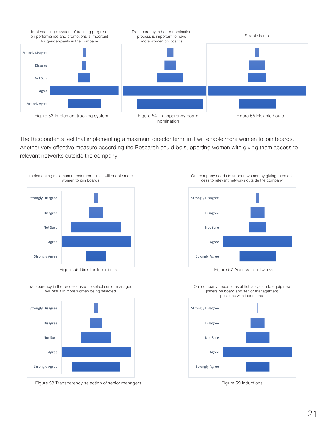

The Respondents feel that implementing a maximum director term limit will enable more women to join boards. Another very effective measure according the Research could be supporting women with giving them access to relevant networks outside the company.



Figure 56 Director term limits **Figure 57 Access to networks** Figure 57 Access to networks

Transparency in the process used to select senior managers will result in more women being selected



Figure 58 Transparency selection of senior managers Figure 59 Inductions Figure 59 Inductions







Our company needs to support women by giving them access to relevant networks outside the company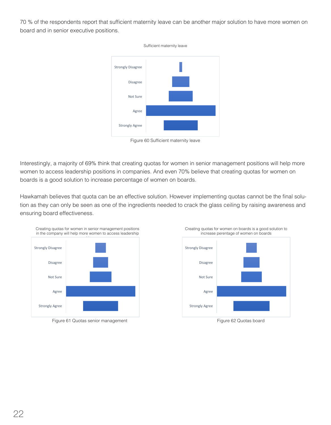70 % of the respondents report that sufficient maternity leave can be another major solution to have more women on board and in senior executive positions.



Figure 60 Sufficient maternity leave

Interestingly, a majority of 69% think that creating quotas for women in senior management positions will help more women to access leadership positions in companies. And even 70% believe that creating quotas for women on boards is a good solution to increase percentage of women on boards.

Hawkamah believes that quota can be an effective solution. However implementing quotas cannot be the final solution as they can only be seen as one of the ingredients needed to crack the glass ceiling by raising awareness and ensuring board effectiveness.